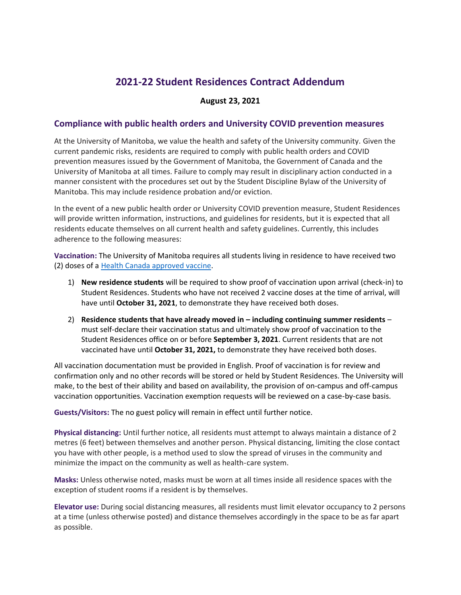## **2021-22 Student Residences Contract Addendum**

## **August 23, 2021**

## **Compliance with public health orders and University COVID prevention measures**

At the University of Manitoba, we value the health and safety of the University community. Given the current pandemic risks, residents are required to comply with public health orders and COVID prevention measures issued by the Government of Manitoba, the Government of Canada and the University of Manitoba at all times. Failure to comply may result in disciplinary action conducted in a manner consistent with the procedures set out by the Student Discipline Bylaw of the University of Manitoba. This may include residence probation and/or eviction.

In the event of a new public health order or University COVID prevention measure, Student Residences will provide written information, instructions, and guidelines for residents, but it is expected that all residents educate themselves on all current health and safety guidelines. Currently, this includes adherence to the following measures:

**Vaccination:** The University of Manitoba requires all students living in residence to have received two (2) doses of a [Health Canada approved vaccine.](https://www.canada.ca/en/health-canada/services/drugs-health-products/covid19-industry/drugs-vaccines-treatments/vaccines.html)

- 1) **New residence students** will be required to show proof of vaccination upon arrival (check-in) to Student Residences. Students who have not received 2 vaccine doses at the time of arrival, will have until **October 31, 2021**, to demonstrate they have received both doses.
- 2) **Residence students that have already moved in – including continuing summer residents** must self-declare their vaccination status and ultimately show proof of vaccination to the Student Residences office on or before **September 3, 2021**. Current residents that are not vaccinated have until **October 31, 2021,** to demonstrate they have received both doses.

All vaccination documentation must be provided in English. Proof of vaccination is for review and confirmation only and no other records will be stored or held by Student Residences. The University will make, to the best of their ability and based on availability, the provision of on-campus and off-campus vaccination opportunities. Vaccination exemption requests will be reviewed on a case-by-case basis.

**Guests/Visitors:** The no guest policy will remain in effect until further notice.

**Physical distancing:** Until further notice, all residents must attempt to always maintain a distance of 2 metres (6 feet) between themselves and another person. Physical distancing, limiting the close contact you have with other people, is a method used to slow the spread of viruses in the community and minimize the impact on the community as well as health-care system.

**Masks:** Unless otherwise noted, masks must be worn at all times inside all residence spaces with the exception of student rooms if a resident is by themselves.

**Elevator use:** During social distancing measures, all residents must limit elevator occupancy to 2 persons at a time (unless otherwise posted) and distance themselves accordingly in the space to be as far apart as possible.